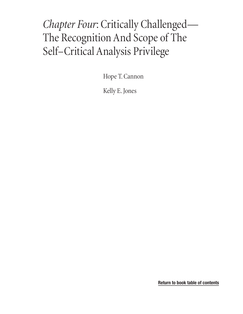# *Chapter Four*: Critically Challenged— The Recognition And Scope of The Self–Critical Analysis Privilege

[Hope T. Cannon](#page-1-0)

[Kelly E. Jones](#page-1-1)

**[Return to book table of contents](#page-2-0)**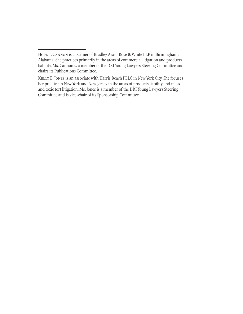<span id="page-1-1"></span>Kelly E. Jones is an associate with Harris Beach PLLC in New York City. She focuses her practice in New York and New Jersey in the areas of products liability and mass and toxic tort litigation. Ms. Jones is a member of the DRI Young Lawyers Steering Committee and is vice-chair of its Sponsorship Committee.

<span id="page-1-0"></span>Hope T. Cannon is a partner of Bradley Arant Rose & White LLP in Birmingham, Alabama. She practices primarily in the areas of commercial litigation and products liability. Ms. Cannon is a member of the DRI Young Lawyers Steering Committee and chairs its Publications Committee.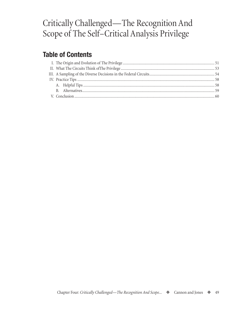## <span id="page-2-0"></span>Critically Challenged—The Recognition And Scope of The Self–Critical Analysis Privilege

## **Table of Contents**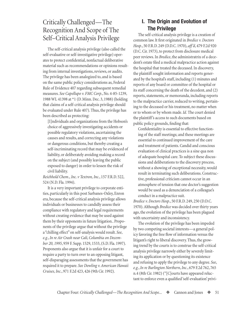## <span id="page-4-0"></span>Critically Challenged—The Recognition And Scope of The Self–Critical Analysis Privilege

The self-critical analysis privilege (also called the self-evaluative or self-investigative privilege) operates to protect confidential, nonfactual deliberative material such as recommendations or opinions resulting from internal investigations, reviews, or audits. The privilege has been analogized to, and is based on the same public policy considerations as, Federal Rule of Evidence 407 regarding subsequent remedial measures. *See Capellupo v. FMC Corp.*, No. 4-85-1239, 1988 WL 41398 at \*1 (D. Minn. Dec. 3, 1988) (holding that claims of a self-critical analysis privilege should be evaluated under Rule 407). Thus, the privilege has been described as protecting:

[I]ndividuals and organizations from the Hobson's choice of aggressively investigating accidents or possible regulatory violations, ascertaining the causes and results, and correcting any violations or dangerous conditions, but thereby creating a self-incriminating record that may be evidenced of liability, or deliberately avoiding making a record on the subject (and possibly leaving the public exposed to danger) in order to lessen the risk of civil liability.

*Reichhold Chem.*, *Inc. v Textron, Inc.*, 157 F.R.D. 522, 524 (N.D. Fla. 1994).

It is a very important privilege to corporate entities, particularly in this post Sarbanes-Oxley, Enron era, because the self-critical analysis privilege allows individuals or businesses to candidly assess their compliance with regulatory and legal requirements without creating evidence that may be used against them by their opponents in future litigation.. Proponents of the privilege argue that without the privilege a "chilling effect" on self-analysis would result. *See*, *e.g.*, *In re Air Crash near Cali, Columbia on December 20, 1995*, 959 F. Supp. 1529, 1533, (S.D. Fla. 1997). Proponents also argue that it is unfair for a court to require a party to turn over to an opposing litigant, self-disparaging assessments that the government has required it to prepare. *See Dowling v. American Hawaii Cruises, Inc.*, 971 F.2d 423, 426 (9th Cir. 1992).

## **I. The Origin and Evolution of The Privilege**

The self-critical analysis privilege is a creation of common law. It first originated in *Bredice v. Doctors Hosp.*, 50 F.R.D. 249 (D.D.C. 1970), *aff 'd*, 479 F.2d 920 (D.C. Cir. 1973), to protect from disclosure medical peer reviews. In *Bredice*, the administratrix of a decedent's estate filed a medical malpractice action against the hospital that treated the deceased. In discovery, the plaintiff sought information and reports generated by the hospital's staff, including (1) minutes and reports of any board or committee of the hospital or its staff concerning the death of the decedent, and (2) reports, statements, or memoranda, including reports to the malpractice carrier, reduced to writing, pertaining to the deceased or his treatment, no matter when or to whom or by whom made. *Id.* The court denied the plaintiff 's access to such documents based on public policy grounds, finding that:

Confidentiality is essential to effective functioning of the staff meetings; and these meetings are essential to continued improvement of the care and treatment of patients. Candid and conscious evaluation of clinical practices is a sine qua non of adequate hospital care. To subject these discussions and deliberations to the discovery process, without a showing of exceptional necessity, would result in terminating such deliberations. Constructive, professional criticism cannot occur in an atmosphere of tension that one doctor's suggestion would be used as a denunciation of a colleague's conduct in a malpractice suit.

*Bredice v. Doctors Hosp.*, 50 F.R.D. 249, 250 (D.D.C. 1970). Although *Bredice* was decided over thirty years ago, the evolution of the privilege has been plagued with uncertainty and inconsistency.

The evolution of the privilege has been impeded by two competing societal interests—a general policy favoring the free flow of information versus the litigant's right to liberal discovery. Thus, the growing trend by the courts is to construe the self-critical analysis privilege narrowly either by severely limiting its application or by questioning its existence and refusing to apply the privilege to any degree. *See*, *e.g.*, *In re Burlington Northern*, *Inc*., 679 F.2d 762, 765 n.4 (8th Cir. 1982) ("[C]ourts have appeared reluctant to enforce even a qualified 'self-evaluation' privi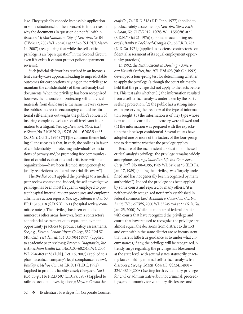lege. They typically concede its possible application in some situations, but then proceed to find a reason why the documents in question do not fall within its scope."); *MacNamara v. City of New York*, No 04- CIV-9612, 2007 WL 755401 at \*\*3–5 (S.D.N.Y. March 14, 2007) (recognizing that while the self-critical privilege is an "open question" in the Second Circuit, even if it exists it cannot protect police department reviews).

Such judicial disfavor has resulted in an inconsistent case-by-case approach, leading to unpredictable outcomes for corporations relying on the privilege to maintain the confidentiality of their self-analytical documents. When the privilege has been recognized, however, the rationale for protecting self-analytical materials from disclosure is the same in every case the public's interest in encouraging candid institutional self-analysis outweighs the public's concern of insuring complete disclosure of all irrelevant information to a litigant*. See*, *e.g.*, *New York Stock Exch. v. Sloan*, No. 71CV2912, 1976 WL 169086 at \*3 (S.D.N.Y. Oct 21, 1976) ("[T]he common theme linking all these cases is that, in each, the policies in favor of confidentiality—protecting individuals' expectations of privacy and/or promoting free communication of candid evaluations and criticisms within an organization—have been deemed strong enough to justify restrictions on liberal pre-trial discovery.").

The *Bredice* court applied the privilege to a medical peer review context and, indeed, the self-investigative privilege has been most frequently employed to protect hospital internal review procedures and employer affirmative action reports. *See*, *e.g.*, *Gillman v. U.S.*, 53 F.R.D. 316, 318 (S.D.N.Y. 1971) (hospital review committee notes). The privilege has been extended to numerous other areas, however, from a contractor's confidential assessment of its equal employment opportunity practices to product safety assessments. *See*, *e.g.*, *Keyes v. Lenoir Rhyne College*, 552 F.2d 57 (4th Cir.), *cert denied*, 434 U.S. 904 (1977) (applied to academic peer reviews); *Bracco v. Diagnostics, Inc. v. Amersham Health Inc.*, No. A.03-6025(FLW), 2006 WL 2946469 at \*8 (D.N.J. Oct. 16, 2007) (applied to a pharmaceutical company's legal compliance review); *Bradley v. Melroe Co.*, 141 F.R.D. 1 (D.D.C. 1992) (applied to products liability case); *Granger v. Nat'l R.R. Corp.*, 116 F.R.D. 507 (E.D. Pa. 1987) (applied to railroad accident investigations); *Lloyd v. Cessna Air-*

52  $\bullet$  Evidentiary Privileges for Corporate Counsel

*craft Co.*, 74 F.R.D. 518 (E.D. Tenn. 1977) (applied to product safety assessments); *New York Stock Exch. v. Sloan*, No. 71CV2912, 1976 WL 169086 at \*1 (S.D.N.Y. Oct 21, 1976) (applied to accounting records); *Banks v. Lockheed-Georgia Co.*, 53 F.R.D. 283 (N.D. Ga. 1971) (applied to a defense contractor's confidential assessment of its equal employment opportunity practices).

In 1992, the Ninth Circuit in *Dowling v. American Hawaii Cruises, Inc.*, 971 F.2d 423 (9th Cir. 1992), developed a four-prong test for determining whether to apply the privilege (although the court ultimately held that the privilege did not apply to the facts before it). This test asks whether (1) the information resulted from a self-critical analysis undertaken by the party seeking protection; (2) the public has a strong interest in preserving the free flow of the type of information sought; (3) the information is of they type whose flow would be curtailed if discovery were allowed and (4) the information was prepared with the expectation that it be kept confidential. Several courts have adopted one or more of the factors of the four-prong test to determine whether the privilege applies.

Because of the inconsistent application of the selfcritical analysis privilege, the privilege remains widely amorphous. *See*, *e.g.*, *Guardian Life Ins. Co*. *v. Serv. Corp. Int'l.*, No. 88–0395, 1989 WL 3496 at \*3 (E.D. Pa. Jan. 17, 1989) (stating the privilege was "largely undefined and has not generally been recognized by many authorities"). Indeed the privilege has been applied by some courts and rejected by many others; "it is neither widely recognized nor firmly established in federal common law." *Abdallah v. Coca-Cola Co.*, No. A1:98CV3679RWS, 2000 WL 33249254 at \*5 (N.D. Ga. Jan. 25, 2000). While the number of federal circuits with courts that have recognized the privilege and courts that have refused to recognize the privilege are almost equal, the decisions from district to district and even within the same district are so inconsistent that there is little true guidance as to under what circumstances, if any, the privilege will be recognized. A trendy surge regarding the privilege has blossomed at the state level, with several states statutorily enacting laws shielding internal self-critical analysis from discovery. *See*, *e.g.*, Mich. Comp. L. §§324.14801– 324.14810 (2008) (setting forth evidentiary privilege for civil or administrative, but not criminal, proceedings, and immunity for voluntary disclosures and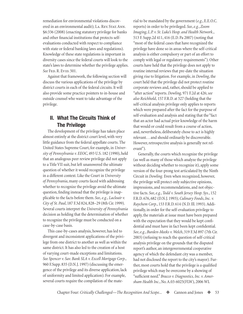<span id="page-6-0"></span>remediation for environmental violations discovered in an environmental audit); LA. REV. STAT. ANN. §6:336 (2008) (enacting statutory privilege for banks and other financial institutions that protects selfevaluations conducted with respect to compliance with state or federal banking laws and regulations). Knowledge of these state regulations is important in diversity cases since the federal courts will look to the state's laws to determine whether the privilege applies. *See* Fed. R. Evid. 501.

Against that framework, the following section will discuss the various applications of the privilege by district courts in each of the federal circuits. It will also provide some practice pointers to in-house and outside counsel who want to take advantage of the privilege.

### **II. What The Circuits Think of The Privilege**

The development of the privilege has taken place almost entirely at the district court level, with very little guidance from the federal appellate courts. The United States Supreme Court, for example, in *University of Pennsylvania v. EEOC*, 493 U.S. 182 (1990), held that an analogous peer review privilege did not apply to a Title VII suit, but left unanswered the ultimate question of whether it would recognize the privilege in a different context. Like the Court in *University of Pennsylvania*, many courts faced with addressing whether to recognize the privilege avoid the ultimate question, finding instead that the privilege is inapplicable to the facts before them. *See*, *e.g.*, *Lacloair v. City of St. Paul*, 187 F.3d 824, 828–29 (8th Cir. 1999). Several courts interpret the *University of Pennsylvania* decision as holding that the determination of whether to recognize the privilege must be conducted on a case-by-case basis.

This case-by-cases analysis, however, has led to divergent and inconsistent applications of the privilege from one district to another as well as within the same district. It has also led to the creation of a host of varying court-made exceptions and limitations. *See Spencer v. Sav. Bank SLA v. Excell Mortgage Corp.*, 960 F.Supp. 835 (D.N.J. 1997) (discussing the emergence of the privilege and its diverse application, lack of uniformity and limited application). For example, several courts require the compilation of the mate-

rial to be mandated by the government (*e.g.*, E.E.O.C. reports) in order to be privileged. *See*, *e.g.*, *Zoom Imaging*, *L.P. v. St. Luke's Hosp. and Health Network.*, 513 F. Supp.2d 411, 416 (E.D. Pa 2007) (noting that "most of the federal cases that have recognized the privilege have done so in areas where the self-critical analysis is either compulsory or part of an effort to comply with legal or regulatory requirements"). Other courts have held that the privilege does not apply to routine internal reviews that pre-date the situation giving rise to litigation. For example, in *Dowling*, the court held that the privilege did not protect routine corporate reviews and, rather, should be applied to "after action" reports. *Dowling,* 971 F.2d at 426; *see also Reichhold*, 157 F.R.D. at 527 (holding that the self-critical analysis privilege only applies to reports which were prepared after the fact for the purpose of self-evaluation and analysis and stating that the "fact that an actor had actual prior knowledge of the harm that would or could result from a course of action, and, nevertheless, deliberately chose to act is highly relevant. . . and should ordinarily be discoverable. However, retrospective analysis is generally not relevant").

Generally, the courts which recognize the privilege (as well as many of those which analyze the privilege without deciding whether to recognize it), apply some version of the four-prong test articulated by the Ninth Circuit in *Dowling.* Even when recognized, however, the privilege will protect only subjective opinions, impressions, and recommendations, and not objective facts. *See*, *e.g.*, *Todd v. South Jersey Hosp. Sys.*, 152 F.R.D. 676, 682 (D.N.J. 1993); *Culinary Foods*, *Inc. v. Raychem Corp.*, 153 F.R.D. 614 (N.D. Ill. 1993). Additionally, in order for the self-evaluation privilege to apply, the materials at issue must have been prepared with the expectation that they would be kept confidential and must have in fact been kept confidential. *See*, *e.g.*, *Burden-Meeks v. Welch*, 319 F.3d 897 (7th Cir. 2003) (refusing to reach the question of self-critical analysis privilege on the grounds that the disputed report's author, an intergovernmental cooperative agency of which the defendant city was a member, had not disclosed the report to the city's mayor). Further, most courts hold that the privilege is a qualified privilege which may be overcome by a showing of "sufficient need." *Bracco v. Diagnostics, Inc. v. Amersham Health Inc.*, No. A.03-6025(FLW), 2006 WL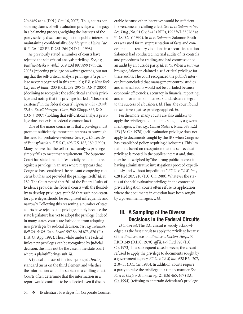<span id="page-7-0"></span>2946469 at \*4 (D.N.J. Oct. 16, 2007). Thus, courts considering claims of self-evaluation privilege will engage in a balancing process, weighing the interests of the party seeking disclosure against the public interest in maintaining confidentiality. *See Morgan v. Union Pac. R.R. Co.*, 182 F.R.D. 261, 264 (N.D. Ill. 1998).

As previously stated, a number of courts have rejected the self-critical analysis privilege. *See*, *e.g.*, *Burden-Meeks v. Welch*, 319 F.3d 897, 899 (7th Cir. 2003) (rejecting privilege on waiver grounds, but noting that the self-critical analysis privilege is "a privilege never recognized in this circuit"); *E.B. v. New York City Bd. of Educ.*, 233 F.R.D. 289, 295 (E.D.N.Y. 2005) (declining to recognize the self-critical analysis privilege and noting that the privilege has led a "checkered existence" in the federal courts); *Spencer v. Sav. Bank SLA v. Excell Mortgage Corp.*, 960 F.Supp. 835, 840 (D.N.J. 1997) (holding that self-critical analysis privilege does not exist at federal common law).

One of the major concerns is that a privilege must promote sufficiently important interests to outweigh the need for probative evidence. *See*, *e.g.*, *University of Pennsylvania v. E.E.O.C.*, 493 U.S. 182, 189 (1990). Many believe that the self-critical analysis privilege simply fails to meet that requirement. The Supreme Court has stated that it is "especially reluctant to recognize a privilege in an area where it appears that Congress has considered the relevant competing concerns but has not provided the privilege itself." *Id.* at 189. The Court noted that 501 of the Federal Rules of Evidence provides the federal courts with the flexibility to develop privileges, yet held that such non-statutory privileges should be recognized infrequently and narrowly. Following this reasoning, a number of state courts have rejected the privilege simply because the state legislature has yet to adopt the privilege. Indeed, in many states, courts are forbidden from adopting new privileges by judicial decision. *See*, *e.g.*, *Southern Bell Tel. & Tel. Co. v. Beard*, 597 So. 2d 873, 876 (Fla. Dist. Ct. App. 1992). Thus, while under the Federal Rules new privileges can be recognized by judicial decision, this may not be the case in the state court where a plaintiff brings suit. *Id.*

A typical analysis of the four-pronged *Dowling*  standard turns on the third element and whether the information would be subject to a chilling effect. Courts often determine that the information in a report would continue to be collected even if discov-

54  $\bullet$  Evidentiary Privileges for Corporate Counsel

erable because other incentives would be sufficient to overcome any chilling effect. *See In re Salomon Inc. Sec. Litig.*, No. 91 Civ. 5442 (RPP), 1992 WL 350762 at \*1 (S.D.N.Y. 1992). In *In re Salomon*, Salomon Brothers was sued for misrepresentation of facts and concealment of treasury violations in a securities auction. Salomon had conducted internal audits of its controls and procedures for trading, and had commissioned an audit by an outside party. *Id.* at \*5. When a suit was brought, Salomon claimed a self-critical privilege for these audits. The court recognized the public's interest, but concluded that management control studies and internal audits would not be curtailed because economic efficiencies, accuracy in financial reporting, and improvement of business standards are integral to the success of a business. *Id.* Thus, the court found no self-investigative privilege applied. *Id.*

Furthermore, many courts are also unlikely to apply the privilege to documents sought by a government agency. *See*, *e.g.*, *United States v. Noall*, 587 F.2d 123 (2d Cir. 1978) (self-evaluation privilege does not apply to documents sought by the IRS when Congress has established policy requiring disclosure). This limitation is based on recognition that the self-evaluation privilege is rooted in the public's interest and, thus, may be outweighed by "the strong public interest in having administrative investigations proceed expeditiously and without impediment." *F.T.C. v. TRW*, *Inc.*, 628 F.2d 207, 210 (D.C. Cir. 1980). Whatever the status of the self-evaluative privilege in the context of private litigation, courts often refuse its application where the documents in question have been sought by a governmental agency. *Id.*

### **III. A Sampling of the Diverse Decisions in the Federal Circuits**

*D.C. Circuit*. The D.C. circuit is widely acknowledged as the first circuit to apply the privilege because of the *Bredice* decision. *Bredice v. Doctors Hosp.*, 50 F.R.D. 249 (D.D.C. 1970), *aff 'd*, 479 F.2d 920 (D.C. Cir. 1973). In a subsequent case, however, the circuit refused to apply the privilege to documents sought by a government agency. *F.T.C. v. TRW, Inc.,* 628 F.2d 207, 210–11 (D.C. Cir. 1980). In addition, courts require a party to raise the privilege in a timely manner. *See First E. Corp. v. Mainwaring*, 21 F.3d 465, 467 (D.C. Cir. 1994) (refusing to entertain defendant's privilege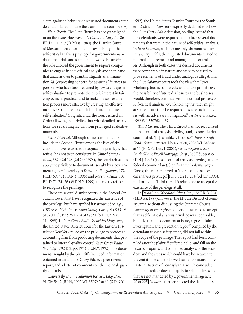claim against disclosure of requested documents after defendant failed to raise the claim in the court below).

*First Circuit*. The First Circuit has not yet weighed in on the issue. However, in *O'Connor v. Chrysler*, 86 F.R.D. 211, 217 (D. Mass. 1980), the District Court of Massachusetts examined the availability of the self-critical analysis privilege for government-mandated materials and found that it would be unfair if the rule allowed the government to require companies to engage in self-critical analysis and then hand that analysis over to plaintiff litigants as ammunition. *Id.* (expressing concern for assuring "fairness to persons who have been required by law to engage in self-evaluation to promote the public interest in fair employment practices and to make the self-evaluation process more effective by creating an effective incentive structure for candid and unconstrained self-evaluation"). Significantly, the Court issued an Order allowing the privilege but with detailed instructions for separating factual from privileged evaluative materials.

*Second Circuit*. Although some commentators include the Second Circuit among the lists of circuits that have refused to recognize the privilege, that refusal has not been consistent. In *United States v. Noall*, 587 F.2d 123 (2d Cir. 1978), the court refused to apply the privilege to documents sought by a government agency. Likewise, in *Donato v. Fitzgibbons,* 172 F.R.D. 69, 71 (S.D.N.Y. 1996) and *Robert v. Hunt*, 187 F.R.D. 71, 74–76 (W.D.N.Y. 1999), the courts refused to recognize the privilege.

There are several district courts in the Second Circuit, however, that have recognized the existence of the privilege, but have applied it narrowly. *See*, *e.g.*, *UBS Asset Mgt., Inc. v. Wood Gundy Corp.*, No. 95 CIV 5157(LLS), 1999 WL 294843 at \*1 (S.D.N.Y. May 11, 1999). In *In re Crazy Eddie Securities Litigation*, the United States District Court for the Eastern District of New York relied on the privilege to protect an accounting firm from producing documents that pertained to internal quality control. *In re Crazy Eddie Sec. Litig*., 792 F. Supp. 197 (E.D.N.Y. 1992). The documents sought by the plaintiffs included information obtained in an audit of Crazy Eddie, a peer review report, and a letter of comments on the internal quality controls.

Conversely, in *In re Salomon Inc. Sec. Litig.*, No. 91 Civ. 5442 (RPP), 1992 WL 350762 at \*1 (S.D.N.Y. 1992), the United States District Court for the Southern District of New York expressly declined to follow the *In re Crazy Eddie* decision, holding instead that the defendants were required to produce several documents that were in the nature of self-critical analysis. In *In re Salomon*, which came only six months after *In re Crazy Eddie*, the requested documents related to internal audit reports and management control studies. Although in both cases the desired documents were comparable in nature and were to be used to prove elements of fraud under analogous allegations, the *In re Salomon* court took the view that "overwhelming business interests would take priority over the possibility of future disclosures and businesses would, therefore, continue with the crucial process of self-critical analysis, even knowing that they might at some future time be required to share such analysis with an adversary in litigation." *See In re Salomon*, 1992 WL 350762 at \*9.

*Third Circuit*. The Third Circuit has not recognized the self-critical analysis privilege and, as one district court stated, "[it] is unlikely to do so." *Davis v. Kraft Foods North America*, No. 03-6060, 2006 WL 3486461 at \*1 (E.D. Pa. Dec. 1, 2006); *see also Spencer Sav. Bank, SLA v. Excell Mortgage Corp.*, 960 F.Supp. 835 (D.N.J. 1997) (no self-critical analysis privilege under federal common law). Significantly, in *Armstrong v. Dwyer*, the court referred to "the so-called self-critical analysis privilege," [155 F.3d 211, 214 \(3d Cir. 1998\),](http://www.westlaw.com/Find/Default.wl?rs=dfa1.0&vr=2.0&DB=506&FindType=Y&ReferencePositionType=S&SerialNum=1998182018&ReferencePosition=214) indicating the Third Circuit's reluctance to accept the existence of the privilege at all.

In *[Paladino v. Woodloch Pines, Inc.,](http://www.westlaw.com/Find/Default.wl?rs=dfa1.0&vr=2.0&DB=344&FindType=Y&SerialNum=1999192124)* 188 F.R.D. 224 [\(M.D. Pa. 1999\),](http://www.westlaw.com/Find/Default.wl?rs=dfa1.0&vr=2.0&DB=344&FindType=Y&SerialNum=1999192124) however, the Middle District of Pennsylvania, without discussing the Supreme Court's *University of Pennsylvania* decision, seemed to accept that a self-critical analysis privilege was cognizable, but held that the document at issue, a "guest claim investigation and prevention report" compiled by the defendant resort's safety office, did not fall within the scope of the privilege. The report had been compiled after the plaintiff suffered a slip-and fall on the resort's property, and contained analysis of the accident and the steps which could have been taken to prevent it. The court followed earlier opinions of the Eastern District of Pennsylvania, which concluded that the privilege does not apply to self-studies which that are not mandated by a governmental agency. *Id.* [at 225.](http://www.westlaw.com/Find/Default.wl?rs=dfa1.0&vr=2.0&FindType=Y&SerialNum=1999192124) *Paladino* further rejected the defendant's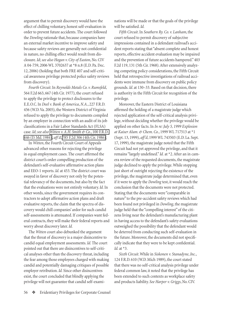argument that to permit discovery would have the effect of chilling voluntary, honest self-evaluation in order to prevent future accidents. The court followed the *Dowling* rationale that, because companies have an external market incentive to improve safety and because safety reviews are generally not confidential in nature, no chilling effect would result from disclosure. *Id*; *see also Hogan v. City of Easton*, No. CIV A 04-759, 2006 WL 3702637 at \*8 n.8 (E.D. Pa. Dec. 12, 2006) (holding that both FRE 407 and self-critical awareness privilege protected police safety reviews from discovery).

*Fourth Circuit*. In *Reynolds Metals Co. v. Rumsfeld*, 564 F.2d 663, 667 (4th Cir. 1977), the court refused to apply the privilege to protect disclosures to the E.E.O.C. In *Deel v. Bank of America*, *N.A.*, 227 F.R.D. 456 (W.D. Va. 2005), the Western District of Virginia refused to apply the privilege to documents compiled by an employer in connection with an audit of its job classifications in a Fair Labor Standards Act (FLSA) case. *Id*; *see also [Witten v. A.H. Smith & Co.](http://www.westlaw.com/Find/Default.wl?rs=dfa1.0&vr=2.0&DB=344&FindType=Y&SerialNum=1984102971)*, 100 F.R.D. [446 \(D. Md. 1984\)](http://www.westlaw.com/Find/Default.wl?rs=dfa1.0&vr=2.0&DB=344&FindType=Y&SerialNum=1984102971), *aff 'd*, [785 F.2d 306 \(4th Cir. 1986\).](http://www.westlaw.com/Find/Default.wl?rs=dfa1.0&vr=2.0&DB=350&FindType=Y&SerialNum=1986209273)

In *Witten*, the Fourth Circuit Court of Appeals advanced other reasons for rejecting the privilege in equal employment cases. The court affirmed the district court's order compelling production of the defendant's self-evaluative affirmative action plans and EEO-1 reports. *Id.* at 453. The district court was swayed in favor of discovery not only by the potential relevancy of the documents, but also by the fact that the evaluations were not entirely voluntary. *Id.* In other words, since the government requires its contractors to adopt affirmative action plans and draft evaluative reports, the claim that the spectra of discovery would chill companies' ardor for such candid self-assessments is attenuated. If companies want federal contracts, they will make their federal reports and worry about discovery later. *Id.*

The *Witten* court also debunked the argument that the threat of discovery is a major disincentive to candid equal employment assessments. *Id.* The court pointed out that there are disincentives to self-critical analyses other than the discovery threat, including the fear among those employees charged with making candid and potentially damaging critiques of possible employer retribution. *Id.* Since other disincentives exist, the court concluded that blindly applying the privilege will not guarantee that candid self-exami-

56  $\div$  Evidentiary Privileges for Corporate Counsel

nations will be made or that the goals of the privilege will be satisfied. *Id.*

*Fifth Circuit*. In *Southern Ry. Co. v. Lanham*, the court refused to permit discovery of subjective impressions contained in a defendant railroad's accident reports stating that "absent complete and honest reports, effective accident evaluation may be impaired and the prevention of future accidents hampered." 403 F.2d 119, 131 (5th Cir. 1968). After extensively analyzing competing policy considerations, the Fifth Circuit held that retrospective investigations of railroad accidents were immune from discovery on public policy grounds. *Id*. at 130–33. Based on that decision, there is authority in the Fifth Circuit for recognition of the privilege.

Moreover, the Eastern District of Louisiana affirmed the holding of a magistrate judge which rejected application of the self-critical analysis privilege, without deciding whether the privilege would be applied on other facts. In *In re: July 5, 1999 Explosion at Kaiser Alum. & Chem. Co.*, 1999 WL 717513 at \*1 (Sept. 13, 1999), *aff 'd*, 1999 WL 743503 (E.D. La. Sept. 17, 1999), the magistrate judge noted that the Fifth Circuit had not yet approved the privilege, and that it remains "largely undefined." *Id.* at \*2. After an in camera review of the requested documents, the magistrate judge declined to apply the privilege. While stopping just short of outright rejecting the existence of the privilege, the magistrate judge determined that, even if it were to apply the *Dowling* test, it would reach the conclusion that the documents were not protected. Stating that the documents were "comparable in nature" to the pre-accident safety reviews which had been found not privileged in *Dowling*, the magistrate judge held that the "compelling interest" of the citizens living near the defendant's manufacturing plant in having access to the defendant's safety evaluations outweighed the possibility that the defendant would be deterred from conducting such self-evaluation in the future. Moreover, the documents did not specifically indicate that they were to be kept confidential. *Id.* at \*3.

*Sixth Circuit*. While in *Siskonen v. Stanadyne*, *Inc.*, 124 F.R.D. 610 (W.D. Mich 1989), the court stated that there was no self-critical analysis privilege under federal common law, it noted that the privilege has been extended to such contexts as workplace safety and products liability. *See Harper v. Griggs*, No. CIV.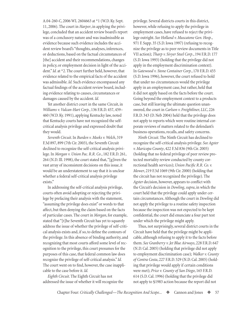A.04-260-C, 2006 WL 2604663 at \*1 (W.D. Ky. Sept. 11, 2006). The court in *Harper*, in applying the privilege, concluded that an accident review board's report was of a conclusory nature and was inadmissible as evidence because such evidence includes the accident review board's "thoughts, analyses, inferences, or deductions, based on the factual circumstances of [the] accident and their recommendations, changes in policy, or employment decision in light of the accident." *Id.* at \*2. The court further held, however, that evidence related to the empirical facts of the accident was admissible. *Id.* Such evidence encompassed any factual findings of the accident review board, including evidence relating to causes, circumstances or damages caused by the accident. *Id.*

Yet another district court in the same Circuit, in *Williams v. Vulcan-Hart Corp.*, 136 F.R.D. 457, 459– 460 (W.D. Ky. 1991), applying Kentucky law, noted that Kentucky courts have not recognized the selfcritical analysis privilege and expressed doubt that they would.

*Seventh Circuit*. In *Burden v. Meeks v. Welch*, 319 F.3d 897, 899 (7th Cir. 2003), the Seventh Circuit declined to recognize the self-critical analysis privilege. In *Morgan v. Union Pac. R.R. Co*., 182 F.R.D. 261, 264 (N.D. Ill. 1998), the court stated that, "[g]iven the vast array of inconsistent decisions on this issue, it would be an understatement to say that it is unclear whether a federal self-critical analysis privilege exists."

In addressing the self-critical analysis privilege, courts often avoid adopting or rejecting the privilege by prefacing their analysis with the statement, "assuming the privilege does exist" or words to that affect, but then denying the claim based on the facts of particular cases. The court in *Morgan*, for example, stated that "[t]he Seventh Circuit has yet to squarely address the issue of whether the privilege of self-critical analysis exists and, if so, to define the contours of the privilege. In this absence of binding authority, and recognizing that most courts afford some level of recognition to the privilege, this court presumes for the purposes of this case, that federal common law does recognize the privilege of self-critical analysis." *Id.* The court went on to find, however, the case inapplicable to the case before it. *Id.*

*Eighth Circuit*. The Eighth Circuit has not addressed the issue of whether it will recognize the

privilege. Several districts courts in this district, however, while refusing to apply the privilege in employment cases, have refused to reject the privilege outright. *See Holland v. Muscatone Gen. Hosp.*, 971 F. Supp. 35 (S.D. Iowa 1997) (refusing to recognize the privilege as to peer review documents in Title VII action); *Tharp v. Sivyer Steel Corp*., 194 F.R.D. 177 (S.D. Iowa 1993) (holding that the privilege did not apply in the employment discrimination context). In *Gatewood v. Stone Container Corp.*, 170 F.R.D. 455 (S.D. Iowa 1996), however, the court refused to hold that under no circumstances would the privilege apply in an employment case, but rather, held that it did not apply based on the facts before the court. Going beyond the employment context to a products case, but still leaving the ultimate question unanswered, the court in *Carlson v. Freightliner, LLC*, 226 F.R.D. 343 (D. Neb 2004) held that the privilege does not apply to reports which were routine internal corporate reviews of matters related to the defendant's business operations, recalls, and safety concerns.

*Ninth Circuit*. The Ninth Circuit has declined to recognize the self-critical analysis privilege. *See Agster v. Maricopa County*, 422 F.3d 836 (9th Cir. 2005) (holding that no federal privilege of peer review protected mortality review conducted by county correctional health services); *Union Pacific R.R. Co. v. Mower*, 219 F.3d 1069 (9th Cir. 2000) (holding that the circuit has not recognized the privilege). The *Agster* decision, however, appears to conflict with the Circuit's decision in *Dowling*, *supra*, in which the court held that the privilege could apply under certain circumstances. Although the court in *Dowling* did not apply the privilege to a routine safety inspection because the inspection was not expected to be kept confidential, the court did enunciate a four part test under which the privilege might apply.

Thus, not surprisingly, several district courts in the Circuit have held that the privilege might be applicable, although refusing to apply it to the facts before them. *See Granberry v. Jet Blue Airways*, 228 F.R.D. 647 (N.D. Cal. 2005) (holding that privilege did not apply to employment discrimination case); *Walker v. County of Contra Costa*, 227 F.R.D. 529 (N.D. Cal. 2005) (holding that privilege would apply if certain conditions were met); *Price v. County of San Diego*, 165 F.R.D. 614 (S.D. Cal. 1996) (holding that the privilege did not apply to §1983 action because the report did not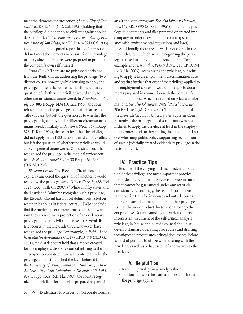<span id="page-11-0"></span>meet the elements for protection); *Soto v. City of Concord*, 162 F.R.D. 603 (N.D. Cal. 1995) (holding that the privilege did not apply to civil suit against police department); *United States ex rel Burns v. Family Practice Assoc. of San Diego*, 162 F.R.D. 624 (S.D. Cal 1995) (holding that the disputed report in a *qui tam* action did not meet the elements necessary for the privilege to apply since the reports were prepared to promote the company's own self interest).

*Tenth Circuit*. There are no published decisions from the Tenth Circuit addressing the privilege. Two district courts, however, while refusing to apply the privilege to the facts before them, left the ultimate question of whether the privilege would apply to other circumstances unanswered. In *Aramburu v. Boeing Co.*, 885 F. Supp. 1434 (D. Kan. 1995), the court refused to apply the privilege in an affirmative action Title VII case, but left the question as to whether the privilege might apply under different circumstances unanswered. Similarly, in *Mason v. Stock*, 869 F.Supp. 828 (D. Kan. 1994), the court held that the privilege did not apply in a §1983 action against a police officer, but left the question of whether the privilege would apply in general unanswered. One district court has recognized the privilege in the medical review context. *Weekoty v. United States*, 30 F.Supp.2d 1343 (D.N.M. 1998).

*Eleventh Circuit*. The Eleventh Circuit has not explicitly answered the question of whether it would recognize the privilege. *See Adkins v*. *Christie*, 488 F.3d 1324, 1331 (11th Cir. 2007) ("While all fifty states and the District of Columbia recognize such a privilege, the Eleventh Circuit has not yet definitively ruled on whether it applies in federal court  $\ldots$  [W] e conclude that the medical peer review process does not warrant the extraordinary protection of an evidentiary privilege in federal civil rights cases."). Several district courts in the Eleventh Circuit, however, have recognized the privilege. For example, in *Reid v. Lockheed Martin Aeronautics Co.,* 199 F.R.D. 379 (N.D. Ga. 2001), the district court held that a report created for the employer's diversity council relating to the employer's corporate culture was protected under the privilege and distinguished the facts before it from the *University of Pennsylvania* case. Similarly, in *In re Air Crash Near Cali, Columbia on December 20, 1995*, 959 F. Supp. 1529 (S.D. Fla. 1997), the court recognized the privilege for materials prepared as part of

an airline safety program. *See also Joiner v. Hercules, Inc.*, 169 F.R.D. 695 (S.D. Ga. 1996) (applying the privilege to documents and files prepared or created by a company in order to evaluate the company's compliance with environmental regulations and laws).

Additionally, there are a few district courts in the Eleventh Circuit which, while recognizing the privilege, refused to apply it to the facts before it. For example, in *Freiermuth v. PPG Ind. Inc.*, 218 F.R.D. 694 (N.D. Ala. 2003) (recognizing the privilege, but refusing to apply it to an employment discrimination case and stating further that even if the privilege applied to the employment context it would not apply to documents prepared in connection with the company's reduction in force, which contained only factual information). *See also Johnson v. United Parcel Serv.*, *Inc.*, 206 F.R.D. 686 (M.D. Fla. 2002) (holding that until the Eleventh Circuit or United States Supreme Court recognizes the privilege, the district court was not inclined to apply the privilege at least in the employment context and further stating that it could find no overwhelming public policy supporting recognition of such a judicially created evidentiary privilege in the facts before it).

#### **IV. Practice Tips**

Because of the varying and inconsistent application of the privilege, the most important practice tip for dealing with this privilege is to keep in mind that it cannot be guaranteed under any set of circumstances. Accordingly, the second most important practice tip is for in-house and outside counsel to protect such documents under another privilege, such as the work product doctrine or attorney-client privilege. Notwithstanding the various courts' inconsistent treatment of the self-critical analysis privilege, in-house and outside counsel should still develop standard operating procedures and drafting techniques to protect such critical documents. Below is a list of pointers to utilize when dealing with the privilege, as well as a discussion of alternatives to the privilege.

#### **A. Helpful Tips**

- Raise the privilege in a timely fashion.
- The burden is on the claimant to establish that the privilege applies.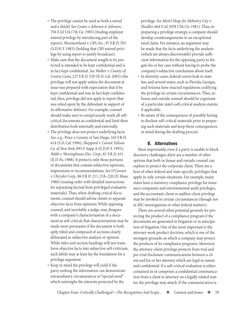- <span id="page-12-0"></span>• The privilege cannot be used as both a sword and a shield. *See Coates v. Johnson & Johnson*, 756 F.2d 524 (7th Cir. 1985) (finding employer waived privilege by introducing part of the report); *Westmoreland v. CBS, Inc.*, 97 F.R.D. 703 (S.D.N.Y. 1983) (holding that CBS waived privilege by using report to justify broadcast).
- Make sure that the document sought to be protected is intended to be kept confidential and is in fact kept confidential. *See Walker v. County of Contra Costa*, 227 F.R.D. 529 (N.D. Cal. 2005) (the privilege will not apply unless the document at issue was prepared with expectation that it be kept confidential and was in fact kept confidential; thus, privilege did not apply to report that was relied upon by the defendant in support of its affirmative defense). For example, counsel should make sure to conspicuously mark all selfcritical documents as confidential and limit their distribution both internally and externally.
- The privilege does not protect underlying facts. *See*, *e.g.*, Price v. County of San Diego, 165 F.R.D. 614 (S.D. Cal. 1996); *Sheppard v. Consol. Edison Co. of New York*, 893 F. Supp. 6 (E.D.N.Y. 1995); *Webb v. Westinghouse Elec. Corp.*, 81 F.R.D. 431 (E.D. Pa. 1988). It protects only those portions of documents that contain subjective opinions, impressions or recommendations. *See O'Connor v. Chrysler Corp.*, 86 F.R.D. 211, 218–220 (D. Mass. 1980) (issuing order with detailed instructions for separating factual from privileged evaluative materials). Thus, when drafting critical documents, counsel should advise clients to separate objective facts from opinions. While opposing counsel, and inevitably a judge, may disagree with a company's characterization of a document as self-critical, that characterization may be made more persuasive if the document is both aptly titled and composed of sections clearly delineated as subjective analysis or opinion. While titles and section headings will not transform objective facts into subjective self-criticism, such labels may at least lay the foundation for a privilege argument.
- Keep in mind the privilege will yield if the party seeking the information can demonstrate extraordinary circumstances or "special need" which outweighs the interests protected by the

privilege. *See Mem'l Hosp. for Meltonry City v. Shadler*, 664 F.2d 1058 (7th Cir. 1981). Thus, in preparing a privilege strategy, a company should develop counterarguments to an exceptional need claim. For instance, an argument may be made that the facts underlying the analysis (which are always discoverable) provide sufficient information for the opposing party to litigate his or her case without having to probe the company's subjective conclusions about itself.

- In diversity cases, federal courts look to state law, and several states, such as Florida, Georgia, and Arizona have enacted regulations codifying the privilege in certain circumstances. Thus, inhouse and outside counsel should be cognizant of a particular state's self-critical analysis statute, if applicable.
- Be aware of the consequences of possibly having to disclose self-critical materials prior to preparing such materials and keep those consequences in mind during the drafting process.

#### **B. Alternatives**

Most importantly, even if a party is unable to block discovery challenges, there are a number of other options that both in-house and outside counsel can explore to protect the corporate client. There are a host of other federal and state-specific privileges that apply in only certain situations. For example, many states have a statutory compliance privilege for insurance companies and environmental audit privileges, and the accountant-client or auditor-client privilege may be invoked in certain circumstances (though not in SEC investigations or other federal matters).

There are several other potential grounds for protecting the product of a compliance program if the documents are generated in litigation or in anticipation of litigation. One of the most important is the attorney work product doctrine, which is one of the strongest grounds on which a company may protect the products of its compliance programs. Moreover, the attorney-client privilege protects from trial and pre-trial disclosure communications between a client and his or her attorney which are legal in nature and confidential. If a self-critical evaluation is either contained in or comprises a confidential communication from a client to attorney on a legally related matter, the privilege may attach. If the communication is